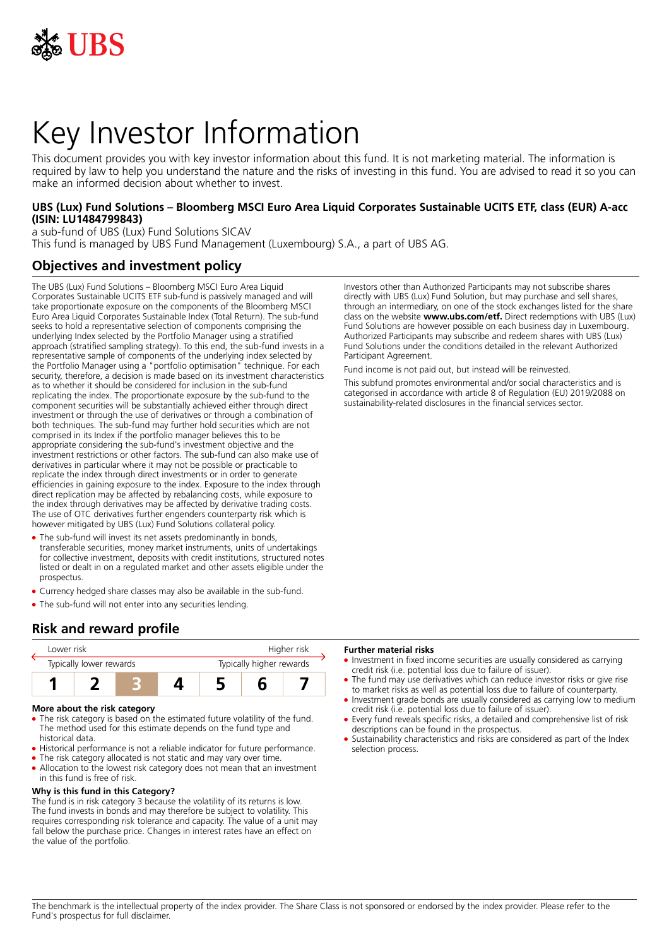

# Key Investor Information

This document provides you with key investor information about this fund. It is not marketing material. The information is required by law to help you understand the nature and the risks of investing in this fund. You are advised to read it so you can make an informed decision about whether to invest.

## **UBS (Lux) Fund Solutions – Bloomberg MSCI Euro Area Liquid Corporates Sustainable UCITS ETF, class (EUR) A-acc (ISIN: LU1484799843)**

a sub-fund of UBS (Lux) Fund Solutions SICAV This fund is managed by UBS Fund Management (Luxembourg) S.A., a part of UBS AG.

## **Objectives and investment policy**

The UBS (Lux) Fund Solutions – Bloomberg MSCI Euro Area Liquid Corporates Sustainable UCITS ETF sub-fund is passively managed and will take proportionate exposure on the components of the Bloomberg MSCI Euro Area Liquid Corporates Sustainable Index (Total Return). The sub-fund seeks to hold a representative selection of components comprising the underlying Index selected by the Portfolio Manager using a stratified approach (stratified sampling strategy). To this end, the sub-fund invests in a representative sample of components of the underlying index selected by the Portfolio Manager using a "portfolio optimisation" technique. For each security, therefore, a decision is made based on its investment characteristics as to whether it should be considered for inclusion in the sub-fund replicating the index. The proportionate exposure by the sub-fund to the component securities will be substantially achieved either through direct investment or through the use of derivatives or through a combination of both techniques. The sub-fund may further hold securities which are not comprised in its Index if the portfolio manager believes this to be appropriate considering the sub-fund's investment objective and the investment restrictions or other factors. The sub-fund can also make use of derivatives in particular where it may not be possible or practicable to replicate the index through direct investments or in order to generate efficiencies in gaining exposure to the index. Exposure to the index through direct replication may be affected by rebalancing costs, while exposure to the index through derivatives may be affected by derivative trading costs. The use of OTC derivatives further engenders counterparty risk which is however mitigated by UBS (Lux) Fund Solutions collateral policy.

- The sub-fund will invest its net assets predominantly in bonds, transferable securities, money market instruments, units of undertakings for collective investment, deposits with credit institutions, structured notes listed or dealt in on a regulated market and other assets eligible under the prospectus.
- Currency hedged share classes may also be available in the sub-fund.
- The sub-fund will not enter into any securities lending.

# **Risk and reward profile**



#### **More about the risk category**

- The risk category is based on the estimated future volatility of the fund. The method used for this estimate depends on the fund type and historical data.
- Historical performance is not a reliable indicator for future performance.
- The risk category allocated is not static and may vary over time.
- Allocation to the lowest risk category does not mean that an investment in this fund is free of risk.

## **Why is this fund in this Category?**

The fund is in risk category 3 because the volatility of its returns is low. The fund invests in bonds and may therefore be subject to volatility. This requires corresponding risk tolerance and capacity. The value of a unit may fall below the purchase price. Changes in interest rates have an effect on the value of the portfolio.

Investors other than Authorized Participants may not subscribe shares directly with UBS (Lux) Fund Solution, but may purchase and sell shares, through an intermediary, on one of the stock exchanges listed for the share class on the website **www.ubs.com/etf.** Direct redemptions with UBS (Lux) Fund Solutions are however possible on each business day in Luxembourg. Authorized Participants may subscribe and redeem shares with UBS (Lux) Fund Solutions under the conditions detailed in the relevant Authorized Participant Agreement.

Fund income is not paid out, but instead will be reinvested.

This subfund promotes environmental and/or social characteristics and is categorised in accordance with article 8 of Regulation (EU) 2019/2088 on sustainability‐related disclosures in the financial services sector.

#### **Further material risks**

- Investment in fixed income securities are usually considered as carrying credit risk (i.e. potential loss due to failure of issuer).
- The fund may use derivatives which can reduce investor risks or give rise to market risks as well as potential loss due to failure of counterparty.
- Investment grade bonds are usually considered as carrying low to medium credit risk (i.e. potential loss due to failure of issuer).
- 5 Every fund reveals specific risks, a detailed and comprehensive list of risk descriptions can be found in the prospectus.
- 5 Sustainability characteristics and risks are considered as part of the Index selection process.